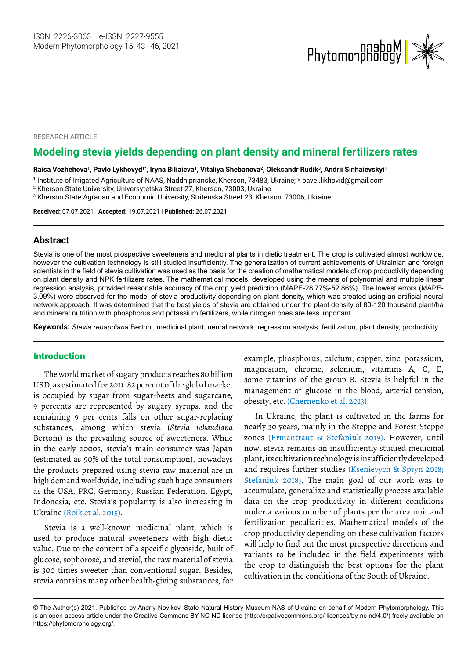

RESEARCH ARTICLE

# **Modeling stevia yields depending on plant density and mineral fertilizers rates**

Raisa Vozhehova<sup>1</sup>, Pavlo Lykhovyd<sup>1\*</sup>, Iryna Biliaieva<sup>1</sup>, Vitaliya Shebanova<sup>2</sup>, Oleksandr Rudik<sup>3</sup>, Andrii Sinhaievskyi<sup>1</sup>

1 Institute of Irrigated Agriculture of NAAS, Naddniprianske, Kherson, 73483, Ukraine; \* [pavel.likhovid@gmail.com](mailto:pavel.likhovid@gmail.com) 

2 Kherson State University, Universytetska Street 27, Kherson, 73003, Ukraine

 $^{\rm 3}$  Kherson State Agrarian and Economic University, Stritenska Street 23, Kherson, 73006, Ukraine

**Received:** 07.07.2021 | **Accepted:** 19.07.2021 | **Published:** 26.07.2021

### **Abstract**

Stevia is one of the most prospective sweeteners and medicinal plants in dietic treatment. The crop is cultivated almost worldwide, however the cultivation technology is still studied insufficiently. The generalization of current achievements of Ukrainian and foreign scientists in the field of stevia cultivation was used as the basis for the creation of mathematical models of crop productivity depending on plant density and NPK fertilizers rates. The mathematical models, developed using the means of polynomial and multiple linear regression analysis, provided reasonable accuracy of the crop yield prediction (MAPE-28.77%-52.86%). The lowest errors (MAPE-3.09%) were observed for the model of stevia productivity depending on plant density, which was created using an artificial neural network approach. It was determined that the best yields of stevia are obtained under the plant density of 80-120 thousand plant/ha and mineral nutrition with phosphorus and potassium fertilizers, while nitrogen ones are less important.

**Keywords:** *Stevia rebaudiana* Bertoni, medicinal plant, neural network, regression analysis, fertilization, plant density, productivity

## Introduction

The world market of sugary products reaches 80 billion USD, as estimated for 2011. 82 percent of the global market is occupied by sugar from sugar-beets and sugarcane, 9 percents are represented by sugary syrups, and the remaining 9 per cents falls on other sugar-replacing substances, among which stevia (*Stevia rebaudiana* Bertoni) is the prevailing source of sweeteners. While in the early 2000s, stevia's main consumer was Japan (estimated as 90% of the total consumption), nowadays the products prepared using stevia raw material are in high demand worldwide, including such huge consumers as the USA, PRC, Germany, Russian Federation, Egypt, Indonesia, etc. Stevia's popularity is also increasing in Ukraine (Roik et al. 2015).

Stevia is a well-known medicinal plant, which is used to produce natural sweeteners with high dietic value. Due to the content of a specific glycoside, built of glucose, sophorose, and steviol, the raw material of stevia is 300 times sweeter than conventional sugar. Besides, stevia contains many other health-giving substances, for

example, phosphorus, calcium, copper, zinc, potassium, magnesium, chrome, selenium, vitamins A, C, E, some vitamins of the group B. Stevia is helpful in the management of glucose in the blood, arterial tension, obesity, etc. (Chernenko et al. 2013).

In Ukraine, the plant is cultivated in the farms for nearly 30 years, mainly in the Steppe and Forest-Steppe zones (Ermantraut & Stefaniuk 2019). However, until now, stevia remains an insufficiently studied medicinal plant, its cultivation technology is insufficiently developed and requires further studies (Ksenievych & Spryn 2018; Stefaniuk 2018). The main goal of our work was to accumulate, generalize and statistically process available data on the crop productivity in different conditions under a various number of plants per the area unit and fertilization peculiarities. Mathematical models of the crop productivity depending on these cultivation factors will help to find out the most prospective directions and variants to be included in the field experiments with the crop to distinguish the best options for the plant cultivation in the conditions of the South of Ukraine.

<sup>©</sup> The Author(s) 2021. Published by Andriy Novikov, State Natural History Museum NAS of Ukraine on behalf of Modern Phytomorphology. This is an open access article under the Creative Commons BY-NC-ND license (http://creativecommons.org/ licenses/by-nc-nd/4.0/) freely available on https://phytomorphology.org/.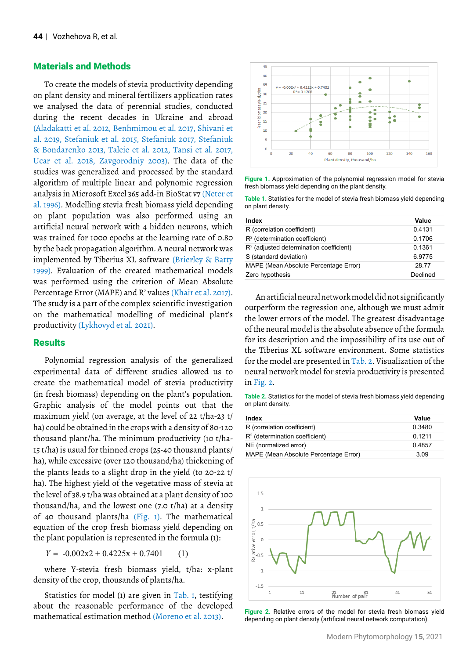## Materials and Methods

To create the models of stevia productivity depending on plant density and mineral fertilizers application rates we analysed the data of perennial studies, conducted during the recent decades in Ukraine and abroad (Aladakatti et al. 2012, Benhmimou et al. 2017, Shivani et al. 2019, Stefaniuk et al. 2015, Stefaniuk 2017, Stefaniuk & Bondarenko 2013, Taleie et al. 2012, Tansi et al. 2017, Ucar et al. 2018, Zavgorodniy 2003). The data of the studies was generalized and processed by the standard algorithm of multiple linear and polynomic regression analysis in Microsoft Excel 365 add-in BioStat v7 (Neter et al. 1996). Modelling stevia fresh biomass yield depending on plant population was also performed using an artificial neural network with 4 hidden neurons, which was trained for 1000 epochs at the learning rate of 0.80 by the back propagation algorithm. A neural network was implemented by Tiberius XL software (Brierley & Batty 1999). Evaluation of the created mathematical models was performed using the criterion of Mean Absolute Percentage Error (MAPE) and R<sup>2</sup> values (Khair et al. 2017). The study is a part of the complex scientific investigation on the mathematical modelling of medicinal plant's productivity (Lykhovyd et al. 2021).

#### **Results**

Polynomial regression analysis of the generalized experimental data of different studies allowed us to create the mathematical model of stevia productivity (in fresh biomass) depending on the plant's population. Graphic analysis of the model points out that the maximum yield (on average, at the level of 22 t/ha-23 t/ ha) could be obtained in the crops with a density of 80-120 thousand plant/ha. The minimum productivity (10 t/ha-15 t/ha) is usual for thinned crops (25-40 thousand plants/ ha), while excessive (over 120 thousand/ha) thickening of the plants leads to a slight drop in the yield (to 20-22 t/ ha). The highest yield of the vegetative mass of stevia at the level of 38.9 t/ha was obtained at a plant density of 100 thousand/ha, and the lowest one (7.0 t/ha) at a density of 40 thousand plants/ha (Fig. 1). The mathematical equation of the crop fresh biomass yield depending on the plant population is represented in the formula (1):

 $Y = -0.002x^2 + 0.4225x + 0.7401$  (1)

where Y-stevia fresh biomass yield, t/ha: x-plant density of the crop, thousands of plants/ha.

Statistics for model (1) are given in Tab. 1, testifying about the reasonable performance of the developed mathematical estimation method (Moreno et al. 2013).



**Figure 1.** Approximation of the polynomial regression model for stevia fresh biomass yield depending on the plant density.

**Table 1.** Statistics for the model of stevia fresh biomass yield depending on plant density.

| Index                                     | Value    |
|-------------------------------------------|----------|
| R (correlation coefficient)               | 0.4131   |
| $R2$ (determination coefficient)          | 0.1706   |
| $R2$ (adjusted determination coefficient) | 0.1361   |
| S (standard deviation)                    | 6.9775   |
| MAPE (Mean Absolute Percentage Error)     | 2877     |
| Zero hypothesis                           | Declined |
|                                           |          |

An artificial neural network model did not significantly outperform the regression one, although we must admit the lower errors of the model. The greatest disadvantage of the neural model is the absolute absence of the formula for its description and the impossibility of its use out of the Tiberius XL software environment. Some statistics for the model are presented in Tab. 2. Visualization of the neural network model for stevia productivity is presented in Fig. 2.

**Table 2.** Statistics for the model of stevia fresh biomass yield depending on plant density.

| Index                                 | Value     |
|---------------------------------------|-----------|
| R (correlation coefficient)           | 0.3480    |
| $R2$ (determination coefficient)      | 0 1 2 1 1 |
| NE (normalized error)                 | 0.4857    |
| MAPE (Mean Absolute Percentage Error) | 3.09      |



**Figure 2.** Relative errors of the model for stevia fresh biomass yield depending on plant density (artificial neural network computation).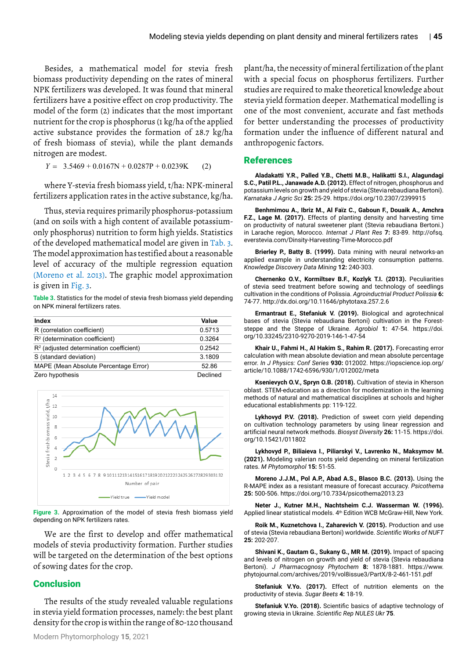Besides, a mathematical model for stevia fresh biomass productivity depending on the rates of mineral NPK fertilizers was developed. It was found that mineral fertilizers have a positive effect on crop productivity. The model of the form (2) indicates that the most important nutrient for the crop is phosphorus (1 kg/ha of the applied active substance provides the formation of 28.7 kg/ha of fresh biomass of stevia), while the plant demands nitrogen are modest.

 $Y = 3.5469 + 0.0167N + 0.0287P + 0.0239K$  (2)

where Y-stevia fresh biomass yield, t/ha: NPK-mineral fertilizers application rates in the active substance, kg/ha.

Thus, stevia requires primarily phosphorus-potassium (and on soils with a high content of available potassiumonly phosphorus) nutrition to form high yields. Statistics of the developed mathematical model are given in Tab. 3. The model approximation has testified about a reasonable level of accuracy of the multiple regression equation (Moreno et al. 2013). The graphic model approximation is given in Fig. 3.

**Table 3.** Statistics for the model of stevia fresh biomass yield depending on NPK mineral fertilizers rates.

| Index                                     | Value    |
|-------------------------------------------|----------|
| R (correlation coefficient)               | 0.5713   |
| $R2$ (determination coefficient)          | 0.3264   |
| $R2$ (adjusted determination coefficient) | 0.2542   |
| S (standard deviation)                    | 3.1809   |
| MAPE (Mean Absolute Percentage Error)     | 52.86    |
| Zero hypothesis                           | Declined |



**Figure 3.** Approximation of the model of stevia fresh biomass yield depending on NPK fertilizers rates.

We are the first to develop and offer mathematical models of stevia productivity formation. Further studies will be targeted on the determination of the best options of sowing dates for the crop.

## **Conclusion**

The results of the study revealed valuable regulations in stevia yield formation processes, namely: the best plant density for the crop is within the range of 80-120 thousand plant/ha, the necessity of mineral fertilization of the plant with a special focus on phosphorus fertilizers. Further studies are required to make theoretical knowledge about stevia yield formation deeper. Mathematical modelling is one of the most convenient, accurate and fast methods for better understanding the processes of productivity formation under the influence of different natural and anthropogenic factors.

### References

**Aladakatti Y.R., Palled Y.B., Chetti M.B., Halikatti S.I., Alagundagi S.C., Patil P.L., Janawade A.D. (2012).** Effect of nitrogen, phosphorus and potassium levels on growth and yield of stevia (Stevia rebaudiana Bertoni). *Karnataka J Agric Sci* **25:** 25-29. https://doi.org/10.2307/2399915

**Benhmimou A., Ibriz M., Al Faïz C., Gaboun F., Douaik A., Amchra F.Z., Lage M. (2017).** Effects of planting density and harvesting time on productivity of natural sweetener plant (Stevia rebaudiana Bertoni.) in Larache region, Morocco. *Internat J Plant Res* **7:** 83-89. [http://ofsq.](http://ofsq.everstevia.com/Dinsity-Harvesting-Time-Morocco.pdf) [everstevia.com/Dinsity-Harvesting-Time-Morocco.pdf](http://ofsq.everstevia.com/Dinsity-Harvesting-Time-Morocco.pdf) 

**Brierley P., Batty B. (1999).** Data mining with neural networks-an applied example in understanding electricity consumption patterns. *Knowledge Discovery Data Mining* **12:** 240-303.

**Chernenko O.V., Kormiltsev B.F., Kozlyk T.I. (2013).** Peculiarities of stevia seed treatment before sowing and technology of seedlings cultivation in the conditions of Polissia. *Agroinductrial Product Polissia* **6:** 74-77.<http://dx.doi.org/10.11646/phytotaxa.257.2.6>

**Ermantraut E., Stefaniuk V. (2019).** Biological and agrotechnical bases of stevia (Stevia rebaudiana Bertoni) cultivation in the Foreststeppe and the Steppe of Ukraine. *Agrobiol* **1:** 47-54. [https://doi.](https://doi.org/10.33245/2310-9270-2019-146-1-47-54) [org/10.33245/2310-9270-2019-146-1-47-54](https://doi.org/10.33245/2310-9270-2019-146-1-47-54)

**Khair U., Fahmi H., Al Hakim S., Rahim R. (2017).** Forecasting error calculation with mean absolute deviation and mean absolute percentage error. *In J Physics: Conf Series* **930:** 012002. [https://iopscience.iop.org/](https://iopscience.iop.org/article/10.1088/1742-6596/930/1/012002/meta) [article/10.1088/1742-6596/930/1/012002/meta](https://iopscience.iop.org/article/10.1088/1742-6596/930/1/012002/meta)

**Ksenievych O.V., Spryn O.B. (2018).** Cultivation of stevia in Kherson oblast. STEM-education as a direction for modernization in the learning methods of natural and mathematical disciplines at schools and higher educational establishments pp: 119-122.

**Lykhovyd P.V. (2018).** Prediction of sweet corn yield depending on cultivation technology parameters by using linear regression and artificial neural network methods. *Biosyst Diversity* **26:** 11-15. [https://doi.](https://doi.org/10.15421/011802) [org/10.15421/011802](https://doi.org/10.15421/011802)

**Lykhovyd P., Biliaieva I., Piliarskyi V., Lavrenko N., Maksymov M. (2021).** Modeling valerian roots yield depending on mineral fertilization rates. *M Phytomorphol* **15:** 51-55.

**Moreno J.J.M., Pol A.P., Abad A.S., Blasco B.C. (2013).** Using the R-MAPE index as a resistant measure of forecast accuracy. *Psicothema* **25:** 500-506.<https://doi.org/10.7334/psicothema2013.23>

**Neter J., Kutner M.H., Nachtsheim C.J. Wasserman W. (1996).** Applied linear statistical models. 4th Edition WCB McGraw-Hill, New York.

**Roik M., Kuznetchova I., Zaharevich V. (2015).** Production and use of stevia (Stevia rebaudiana Bertoni) worldwide. *Scientific Works of NUFT* **25:** 202-207.

**Shivani K., Gautam G., Sukany G., MR M. (2019).** Impact of spacing and levels of nitrogen on growth and yield of stevia (Stevia rebaudiana Bertoni). *J Pharmacognosy Phytochem* **8:** 1878-1881. [https://www.](https://www.phytojournal.com/archives/2019/vol8issue3/PartX/8-2-461-151.pdf) [phytojournal.com/archives/2019/vol8issue3/PartX/8-2-461-151.pdf](https://www.phytojournal.com/archives/2019/vol8issue3/PartX/8-2-461-151.pdf)

**Stefaniuk V.Yo. (2017).** Effect of nutrition elements on the productivity of stevia. *Sugar Beets* **4:** 18-19.

**Stefaniuk V.Yo. (2018).** Scientific basics of adaptive technology of growing stevia in Ukraine. *Scientific Rep NULES Ukr* **75**.